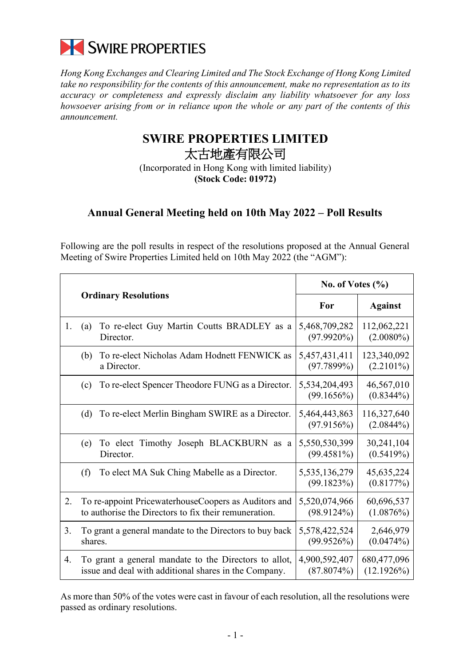

*Hong Kong Exchanges and Clearing Limited and The Stock Exchange of Hong Kong Limited take no responsibility for the contents of this announcement, make no representation as to its accuracy or completeness and expressly disclaim any liability whatsoever for any loss howsoever arising from or in reliance upon the whole or any part of the contents of this announcement.*

## **SWIRE PROPERTIES LIMITED** 太古地產有限公司

(Incorporated in Hong Kong with limited liability) **(Stock Code: 01972)**

## **Annual General Meeting held on 10th May 2022 – Poll Results**

Following are the poll results in respect of the resolutions proposed at the Annual General Meeting of Swire Properties Limited held on 10th May 2022 (the "AGM"):

|    |                                                                    | No. of Votes $(\%$             |                             |
|----|--------------------------------------------------------------------|--------------------------------|-----------------------------|
|    | <b>Ordinary Resolutions</b>                                        | For                            | <b>Against</b>              |
| 1. | To re-elect Guy Martin Coutts BRADLEY as a<br>(a)<br>Director.     | 5,468,709,282<br>$(97.9920\%)$ | 112,062,221<br>$(2.0080\%)$ |
|    | To re-elect Nicholas Adam Hodnett FENWICK as<br>(b)<br>a Director. | 5,457,431,411<br>(97.7899%)    | 123,340,092<br>$(2.2101\%)$ |
|    | To re-elect Spencer Theodore FUNG as a Director.                   | 5,534,204,493                  | 46,567,010                  |
|    | (c)                                                                | (99.1656%)                     | $(0.8344\%)$                |
|    | To re-elect Merlin Bingham SWIRE as a Director.                    | 5,464,443,863                  | 116,327,640                 |
|    | (d)                                                                | (97.9156%)                     | (2.0844%)                   |
|    | To elect Timothy Joseph BLACKBURN<br>(e)<br>as a<br>Director.      | 5,550,530,399<br>$(99.4581\%)$ | 30,241,104<br>(0.5419%)     |
|    | (f)                                                                | 5,535,136,279                  | 45,635,224                  |
|    | To elect MA Suk Ching Mabelle as a Director.                       | (99.1823%)                     | (0.8177%)                   |
| 2. | To re-appoint PricewaterhouseCoopers as Auditors and               | 5,520,074,966                  | 60,696,537                  |
|    | to authorise the Directors to fix their remuneration.              | (98.9124%)                     | (1.0876%)                   |
| 3. | To grant a general mandate to the Directors to buy back            | 5,578,422,524                  | 2,646,979                   |
|    | shares.                                                            | (99.9526%)                     | (0.0474%)                   |
| 4. | To grant a general mandate to the Directors to allot,              | 4,900,592,407                  | 680,477,096                 |
|    | issue and deal with additional shares in the Company.              | (87.8074%)                     | $(12.1926\%)$               |

As more than 50% of the votes were cast in favour of each resolution, all the resolutions were passed as ordinary resolutions.